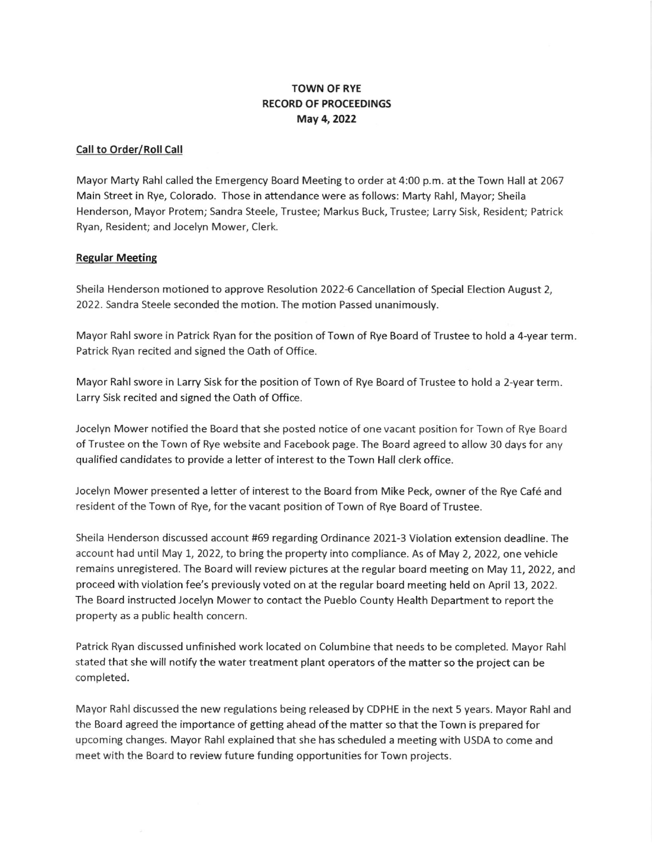# TOWN OF RYE RECORD OF PROCEEDINGS May 4,2022

#### Call to Order/Roll Call

Mayor Marty Rahl called the Emergency Board Meeting to order at 4:00 p.m. at the Town Hall at 2067 Main Street in Rye, Colorado. Those in attendance were as follows: Marty Rahl, Mayor; Sheila Henderson, Mayor Protem; Sandra Steele, Trustee; Markus Buck, Trustee; Larry Sisk, Resident; Patrick Ryan, Resident; and Jocelyn Mower, Clerk,

### Regular Meetins

Sheila Henderson motioned to approve Resolution 2022-6 Cancellation of Special Election August 2, 2022. Sandra Steele seconded the motion. The motion Passed unanimously.

Mayor Rahl swore in Patrick Ryan for the position of Town of Rye Board of Trustee to hold a 4-year term. Patrick Ryan recited and signed the Oath of Office.

Mayor Rahl swore in Larry Sisk for the position of Town of Rye Board of Trustee to hold a 2-year term Larry Sisk recited and signed the Oath of Office.

Jocelyn Mower notified the Board that she posted notice of one vacant position for Town of Rye Board of Trustee on the Town of Rye website and Facebook page. The Board agreed to allow 30 days for any qualified candidates to provide a letter of interest to the Town Hall clerk office.

Jocelyn Mower presented a letter of interest to the Board from Mike Peck, owner of the Rye Café and resident of the Town of Rye, for the vacant position of Town of Rye Board of Trustee.

Sheila Henderson discussed account #69 regarding Ordinance 2021-3 Violation extension deadline. The account had until May l, 2022, to bring the property into compliance. As of May 2, 2022, one vehicle remains unregistered. The Board will review pictures at the regular board meeting on May 11, 2022, and proceed with violation fee's previously voted on at the regular board meeting held on April 73,2022. The Board instructed Jocelyn Mower to contact the Pueblo County Health Department to report the property as a public health concern.

Patrick Ryan discussed unfinished work located on Columbine that needs to be completed. Mayor Rahl stated that she will notify the water treatment plant operators of the matter so the project can be completed.

Mayor Rahl discussed the new regulations being released by CDPHE in the next 5 years. Mayor Rahl and the Board agreed the importance of getting ahead of the matter so that the Town is prepared for upcoming changes. Mayor Rahl explained that she has scheduled a meeting with USDA to come and meet with the Board to review future funding opportunities for Town projects.